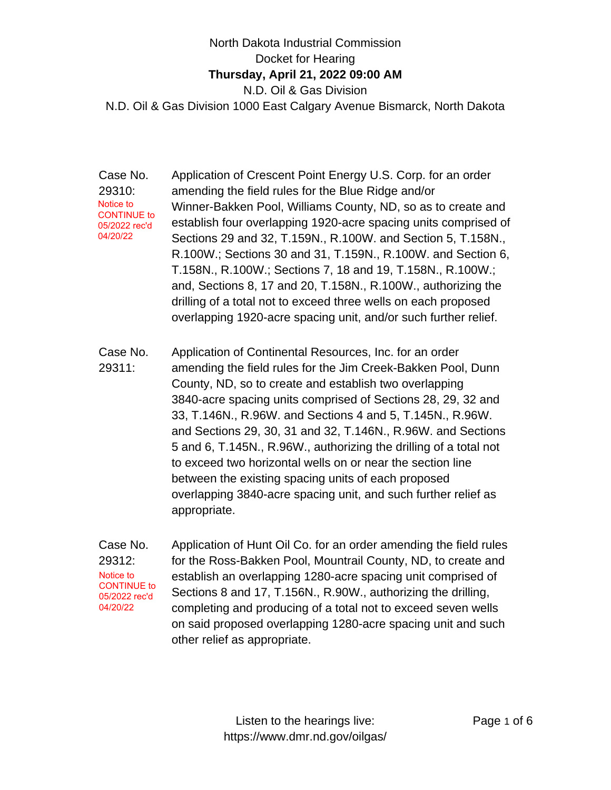## North Dakota Industrial Commission Docket for Hearing **Thursday, April 21, 2022 09:00 AM** N.D. Oil & Gas Division N.D. Oil & Gas Division 1000 East Calgary Avenue Bismarck, North Dakota

Case No. 29310: Application of Crescent Point Energy U.S. Corp. for an order amending the field rules for the Blue Ridge and/or Winner-Bakken Pool, Williams County, ND, so as to create and establish four overlapping 1920-acre spacing units comprised of Sections 29 and 32, T.159N., R.100W. and Section 5, T.158N., R.100W.; Sections 30 and 31, T.159N., R.100W. and Section 6, T.158N., R.100W.; Sections 7, 18 and 19, T.158N., R.100W.; and, Sections 8, 17 and 20, T.158N., R.100W., authorizing the drilling of a total not to exceed three wells on each proposed overlapping 1920-acre spacing unit, and/or such further relief. Notice to CONTINUE to 05/2022 rec'd 04/20/22

Case No. 29311: Application of Continental Resources, Inc. for an order amending the field rules for the Jim Creek-Bakken Pool, Dunn County, ND, so to create and establish two overlapping 3840-acre spacing units comprised of Sections 28, 29, 32 and 33, T.146N., R.96W. and Sections 4 and 5, T.145N., R.96W. and Sections 29, 30, 31 and 32, T.146N., R.96W. and Sections 5 and 6, T.145N., R.96W., authorizing the drilling of a total not to exceed two horizontal wells on or near the section line between the existing spacing units of each proposed overlapping 3840-acre spacing unit, and such further relief as appropriate.

Case No. 29312: Application of Hunt Oil Co. for an order amending the field rules for the Ross-Bakken Pool, Mountrail County, ND, to create and establish an overlapping 1280-acre spacing unit comprised of Sections 8 and 17, T.156N., R.90W., authorizing the drilling, completing and producing of a total not to exceed seven wells on said proposed overlapping 1280-acre spacing unit and such other relief as appropriate. Notice to CONTINUE to 05/2022 rec'd 04/20/22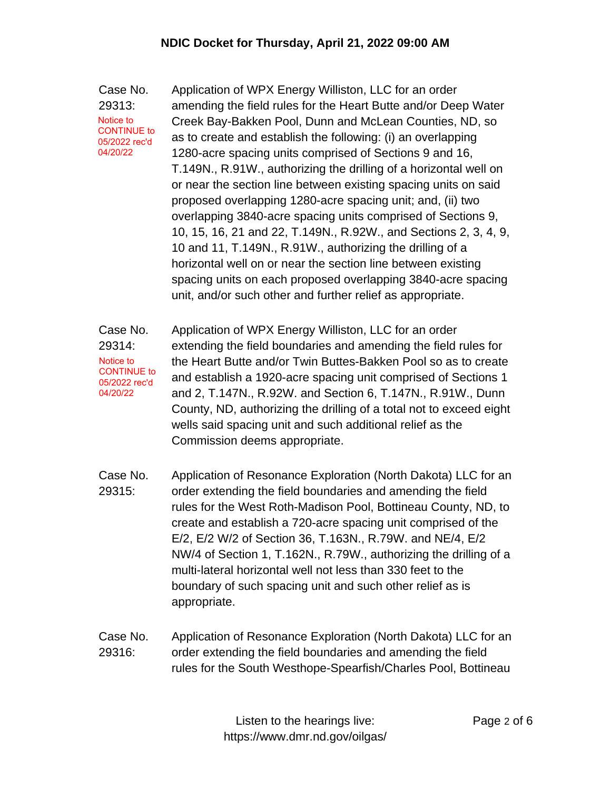Case No. 29313: Application of WPX Energy Williston, LLC for an order amending the field rules for the Heart Butte and/or Deep Water Creek Bay-Bakken Pool, Dunn and McLean Counties, ND, so as to create and establish the following: (i) an overlapping 1280-acre spacing units comprised of Sections 9 and 16, T.149N., R.91W., authorizing the drilling of a horizontal well on or near the section line between existing spacing units on said proposed overlapping 1280-acre spacing unit; and, (ii) two overlapping 3840-acre spacing units comprised of Sections 9, 10, 15, 16, 21 and 22, T.149N., R.92W., and Sections 2, 3, 4, 9, 10 and 11, T.149N., R.91W., authorizing the drilling of a horizontal well on or near the section line between existing spacing units on each proposed overlapping 3840-acre spacing unit, and/or such other and further relief as appropriate. Notice to CONTINUE to 05/2022 rec'd 04/20/22

Case No. 29314: Application of WPX Energy Williston, LLC for an order extending the field boundaries and amending the field rules for the Heart Butte and/or Twin Buttes-Bakken Pool so as to create and establish a 1920-acre spacing unit comprised of Sections 1 and 2, T.147N., R.92W. and Section 6, T.147N., R.91W., Dunn County, ND, authorizing the drilling of a total not to exceed eight wells said spacing unit and such additional relief as the Commission deems appropriate. Notice to CONTINUE to 05/2022 rec'd 04/20/22

- Case No. 29315: Application of Resonance Exploration (North Dakota) LLC for an order extending the field boundaries and amending the field rules for the West Roth-Madison Pool, Bottineau County, ND, to create and establish a 720-acre spacing unit comprised of the E/2, E/2 W/2 of Section 36, T.163N., R.79W. and NE/4, E/2 NW/4 of Section 1, T.162N., R.79W., authorizing the drilling of a multi-lateral horizontal well not less than 330 feet to the boundary of such spacing unit and such other relief as is appropriate.
- Case No. 29316: Application of Resonance Exploration (North Dakota) LLC for an order extending the field boundaries and amending the field rules for the South Westhope-Spearfish/Charles Pool, Bottineau

Listen to the hearings live: https://www.dmr.nd.gov/oilgas/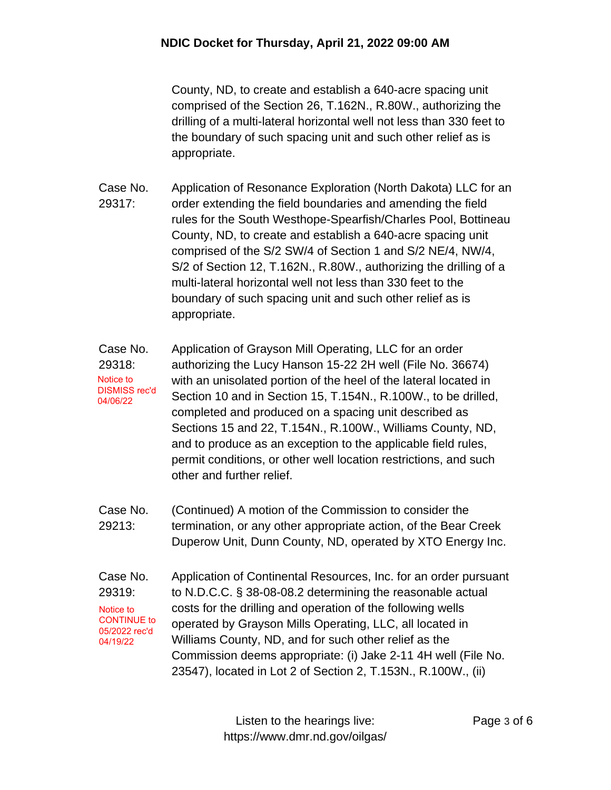County, ND, to create and establish a 640-acre spacing unit comprised of the Section 26, T.162N., R.80W., authorizing the drilling of a multi-lateral horizontal well not less than 330 feet to the boundary of such spacing unit and such other relief as is appropriate.

- Case No. 29317: Application of Resonance Exploration (North Dakota) LLC for an order extending the field boundaries and amending the field rules for the South Westhope-Spearfish/Charles Pool, Bottineau County, ND, to create and establish a 640-acre spacing unit comprised of the S/2 SW/4 of Section 1 and S/2 NE/4, NW/4, S/2 of Section 12, T.162N., R.80W., authorizing the drilling of a multi-lateral horizontal well not less than 330 feet to the boundary of such spacing unit and such other relief as is appropriate.
- Case No. 29318: Application of Grayson Mill Operating, LLC for an order authorizing the Lucy Hanson 15-22 2H well (File No. 36674) with an unisolated portion of the heel of the lateral located in Section 10 and in Section 15, T.154N., R.100W., to be drilled, completed and produced on a spacing unit described as Sections 15 and 22, T.154N., R.100W., Williams County, ND, and to produce as an exception to the applicable field rules, permit conditions, or other well location restrictions, and such other and further relief. Notice to DISMISS rec'd 04/06/22
- Case No. 29213: (Continued) A motion of the Commission to consider the termination, or any other appropriate action, of the Bear Creek Duperow Unit, Dunn County, ND, operated by XTO Energy Inc.
- Case No. 29319: Application of Continental Resources, Inc. for an order pursuant to N.D.C.C. § 38-08-08.2 determining the reasonable actual costs for the drilling and operation of the following wells operated by Grayson Mills Operating, LLC, all located in Williams County, ND, and for such other relief as the Commission deems appropriate: (i) Jake 2-11 4H well (File No. 23547), located in Lot 2 of Section 2, T.153N., R.100W., (ii) Notice to CONTINUE to 05/2022 rec'd 04/19/22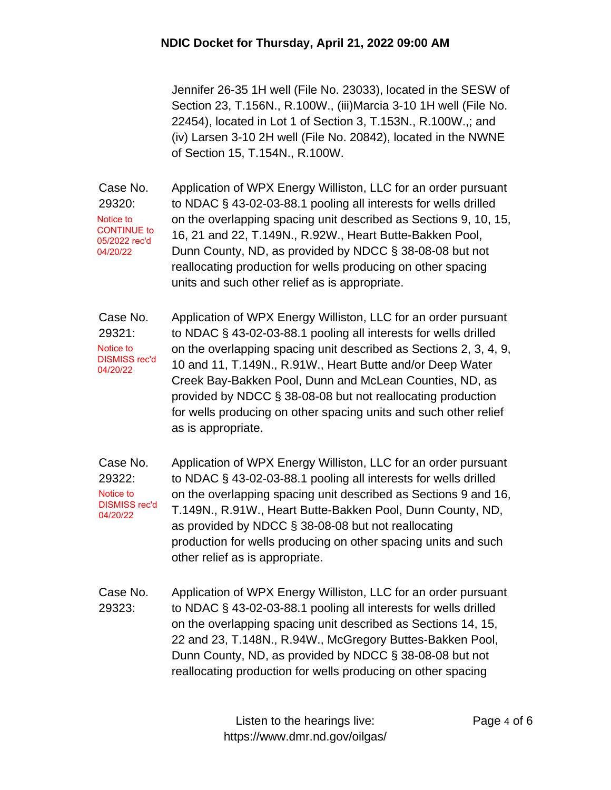Jennifer 26-35 1H well (File No. 23033), located in the SESW of Section 23, T.156N., R.100W., (iii)Marcia 3-10 1H well (File No. 22454), located in Lot 1 of Section 3, T.153N., R.100W.,; and (iv) Larsen 3-10 2H well (File No. 20842), located in the NWNE of Section 15, T.154N., R.100W.

Case No. 29320: Application of WPX Energy Williston, LLC for an order pursuant to NDAC § 43-02-03-88.1 pooling all interests for wells drilled on the overlapping spacing unit described as Sections 9, 10, 15, 16, 21 and 22, T.149N., R.92W., Heart Butte-Bakken Pool, Dunn County, ND, as provided by NDCC § 38-08-08 but not reallocating production for wells producing on other spacing units and such other relief as is appropriate. Notice to CONTINUE to 05/2022 rec'd 04/20/22

Case No. 29321: Application of WPX Energy Williston, LLC for an order pursuant to NDAC § 43-02-03-88.1 pooling all interests for wells drilled on the overlapping spacing unit described as Sections 2, 3, 4, 9, 10 and 11, T.149N., R.91W., Heart Butte and/or Deep Water Creek Bay-Bakken Pool, Dunn and McLean Counties, ND, as provided by NDCC § 38-08-08 but not reallocating production for wells producing on other spacing units and such other relief as is appropriate. Notice to DISMISS rec'd 04/20/22

Case No. 29322: Application of WPX Energy Williston, LLC for an order pursuant to NDAC § 43-02-03-88.1 pooling all interests for wells drilled on the overlapping spacing unit described as Sections 9 and 16, T.149N., R.91W., Heart Butte-Bakken Pool, Dunn County, ND, as provided by NDCC § 38-08-08 but not reallocating production for wells producing on other spacing units and such other relief as is appropriate. Notice to DISMISS rec'd 04/20/22

Case No. 29323: Application of WPX Energy Williston, LLC for an order pursuant to NDAC § 43-02-03-88.1 pooling all interests for wells drilled on the overlapping spacing unit described as Sections 14, 15, 22 and 23, T.148N., R.94W., McGregory Buttes-Bakken Pool, Dunn County, ND, as provided by NDCC § 38-08-08 but not reallocating production for wells producing on other spacing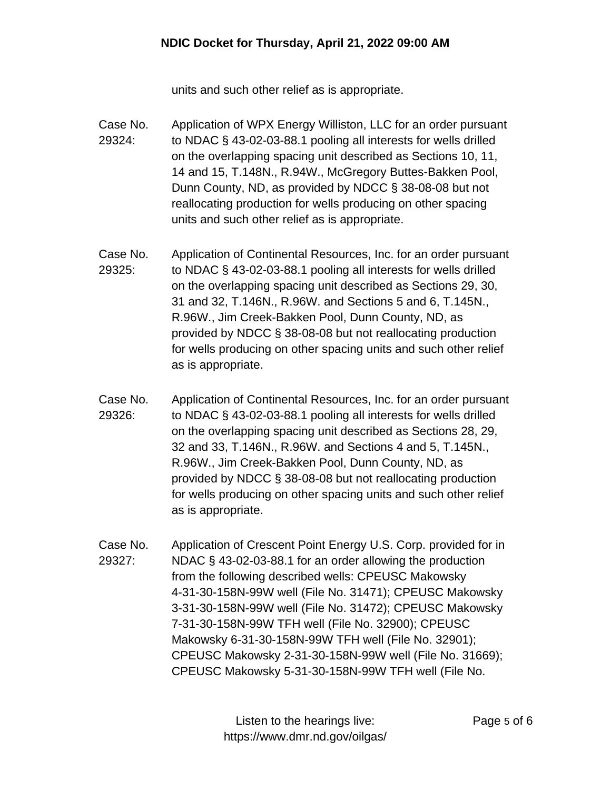units and such other relief as is appropriate.

- Case No. 29324: Application of WPX Energy Williston, LLC for an order pursuant to NDAC § 43-02-03-88.1 pooling all interests for wells drilled on the overlapping spacing unit described as Sections 10, 11, 14 and 15, T.148N., R.94W., McGregory Buttes-Bakken Pool, Dunn County, ND, as provided by NDCC § 38-08-08 but not reallocating production for wells producing on other spacing units and such other relief as is appropriate.
- Case No. 29325: Application of Continental Resources, Inc. for an order pursuant to NDAC § 43-02-03-88.1 pooling all interests for wells drilled on the overlapping spacing unit described as Sections 29, 30, 31 and 32, T.146N., R.96W. and Sections 5 and 6, T.145N., R.96W., Jim Creek-Bakken Pool, Dunn County, ND, as provided by NDCC § 38-08-08 but not reallocating production for wells producing on other spacing units and such other relief as is appropriate.
- Case No. 29326: Application of Continental Resources, Inc. for an order pursuant to NDAC § 43-02-03-88.1 pooling all interests for wells drilled on the overlapping spacing unit described as Sections 28, 29, 32 and 33, T.146N., R.96W. and Sections 4 and 5, T.145N., R.96W., Jim Creek-Bakken Pool, Dunn County, ND, as provided by NDCC § 38-08-08 but not reallocating production for wells producing on other spacing units and such other relief as is appropriate.
- Case No. 29327: Application of Crescent Point Energy U.S. Corp. provided for in NDAC § 43-02-03-88.1 for an order allowing the production from the following described wells: CPEUSC Makowsky 4-31-30-158N-99W well (File No. 31471); CPEUSC Makowsky 3-31-30-158N-99W well (File No. 31472); CPEUSC Makowsky 7-31-30-158N-99W TFH well (File No. 32900); CPEUSC Makowsky 6-31-30-158N-99W TFH well (File No. 32901); CPEUSC Makowsky 2-31-30-158N-99W well (File No. 31669); CPEUSC Makowsky 5-31-30-158N-99W TFH well (File No.